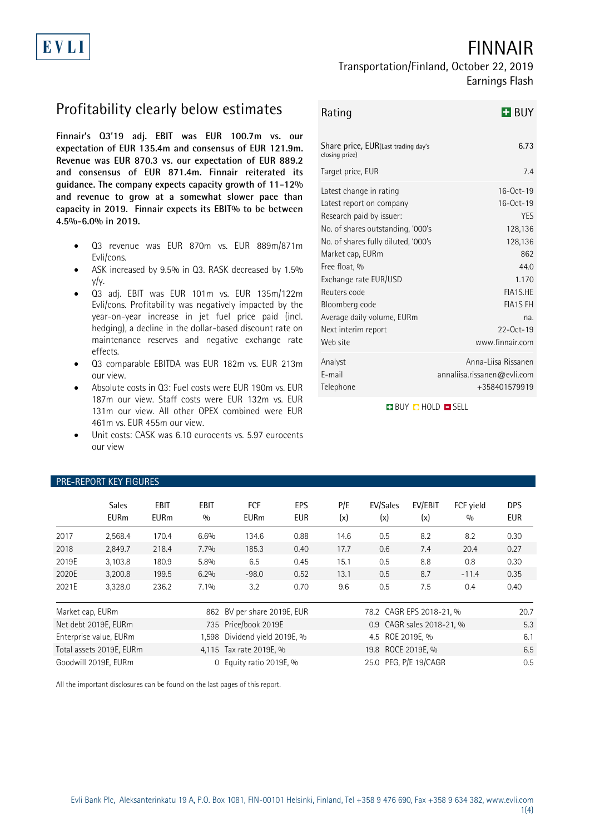# FINNAIR

## Transportation/Finland, October 22, 2019 Earnings Flash

# Profitability clearly below estimates

**Finnair's Q3'19 adj. EBIT was EUR 100.7m vs. our expectation of EUR 135.4m and consensus of EUR 121.9m. Revenue was EUR 870.3 vs. our expectation of EUR 889.2 and consensus of EUR 871.4m. Finnair reiterated its guidance. The company expects capacity growth of 11-12% and revenue to grow at a somewhat slower pace than capacity in 2019. Finnair expects its EBIT% to be between 4.5%-6.0% in 2019.** 

- Q3 revenue was EUR 870m vs. EUR 889m/871m Evli/cons.
- ASK increased by 9.5% in Q3. RASK decreased by 1.5% y/y.
- Q3 adj. EBIT was EUR 101m vs. EUR 135m/122m Evli/cons. Profitability was negatively impacted by the year-on-year increase in jet fuel price paid (incl. hedging), a decline in the dollar-based discount rate on maintenance reserves and negative exchange rate effects.
- Q3 comparable EBITDA was EUR 182m vs. EUR 213m our view.
- Absolute costs in Q3: Fuel costs were EUR 190m vs. EUR 187m our view. Staff costs were EUR 132m vs. EUR 131m our view. All other OPEX combined were EUR 461m vs. EUR 455m our view.
- Unit costs: CASK was 6.10 eurocents vs. 5.97 eurocents our view

| Rating                                                                                                                                                                                                                                                                                                                       | <b>H</b> BUY                                                                                                                                                   |
|------------------------------------------------------------------------------------------------------------------------------------------------------------------------------------------------------------------------------------------------------------------------------------------------------------------------------|----------------------------------------------------------------------------------------------------------------------------------------------------------------|
| Share price, EUR(Last trading day's<br>closing price)                                                                                                                                                                                                                                                                        | 6.73                                                                                                                                                           |
| Target price, EUR                                                                                                                                                                                                                                                                                                            | 7.4                                                                                                                                                            |
| Latest change in rating<br>Latest report on company<br>Research paid by issuer:<br>No. of shares outstanding, '000's<br>No. of shares fully diluted, '000's<br>Market cap, EURm<br>Free float, %<br>Exchange rate EUR/USD<br>Reuters code<br>Bloomberg code<br>Average daily volume, EURm<br>Next interim report<br>Web site | $16-0ct-19$<br>$16-0ct-19$<br><b>YES</b><br>128,136<br>128,136<br>862<br>44.0<br>1.170<br>FIA1S.HE<br><b>FIA1S FH</b><br>na.<br>$22-0ct-19$<br>www.finnair.com |
| Analyst<br>E-mail<br>Telephone                                                                                                                                                                                                                                                                                               | Anna-Liisa Rissanen<br>annaliisa.rissanen@evli.com<br>+358401579919                                                                                            |

**BUY OHOLD SELL** 

| <b>PRE-REPORT KEY FIGURES</b> |                             |                            |                                               |                             |                   |                           |                       |                |                  |                          |
|-------------------------------|-----------------------------|----------------------------|-----------------------------------------------|-----------------------------|-------------------|---------------------------|-----------------------|----------------|------------------|--------------------------|
|                               | <b>Sales</b><br><b>EURm</b> | <b>EBIT</b><br><b>EURm</b> | <b>EBIT</b><br>0/0                            | <b>FCF</b><br><b>EURm</b>   | EPS<br><b>EUR</b> | P/E<br>(x)                | EV/Sales<br>(x)       | EV/EBIT<br>(x) | FCF yield<br>0/0 | <b>DPS</b><br><b>EUR</b> |
| 2017                          | 2,568.4                     | 170.4                      | 6.6%                                          | 134.6                       | 0.88              | 14.6                      | 0.5                   | 8.2            | 8.2              | 0.30                     |
| 2018                          | 2,849.7                     | 218.4                      | 7.7%                                          | 185.3                       | 0.40              | 17.7                      | 0.6                   | 7.4            | 20.4             | 0.27                     |
| 2019E                         | 3,103.8                     | 180.9                      | 5.8%                                          | 6.5                         | 0.45              | 15.1                      | 0.5                   | 8.8            | 0.8              | 0.30                     |
| 2020E                         | 3,200.8                     | 199.5                      | 6.2%                                          | $-98.0$                     | 0.52              | 13.1                      | 0.5                   | 8.7            | $-11.4$          | 0.35                     |
| 2021E                         | 3,328.0                     | 236.2                      | 7.1%                                          | 3.2                         | 0.70              | 9.6                       | 0.5                   | 7.5            | 0.4              | 0.40                     |
| Market cap, EURm              |                             |                            |                                               | 862 BV per share 2019E, EUR |                   | 78.2 CAGR EPS 2018-21, %  |                       |                |                  | 20.7                     |
|                               | Net debt 2019E, EURm        |                            |                                               | 735 Price/book 2019E        |                   | 0.9 CAGR sales 2018-21, % |                       |                |                  | 5.3                      |
|                               | Enterprise value, EURm      |                            | 1.598                                         | Dividend yield 2019E, %     |                   | 4.5 ROE 2019E, %          |                       |                |                  | 6.1                      |
| Total assets 2019E, EURm      |                             |                            | 19.8 ROCE 2019E, %<br>4,115 Tax rate 2019E, % |                             |                   |                           | 6.5                   |                |                  |                          |
| Goodwill 2019E, EURm          |                             |                            |                                               | 0 Equity ratio 2019E, %     |                   |                           | 25.0 PEG, P/E 19/CAGR |                |                  | 0.5                      |

All the important disclosures can be found on the last pages of this report.

# EVLI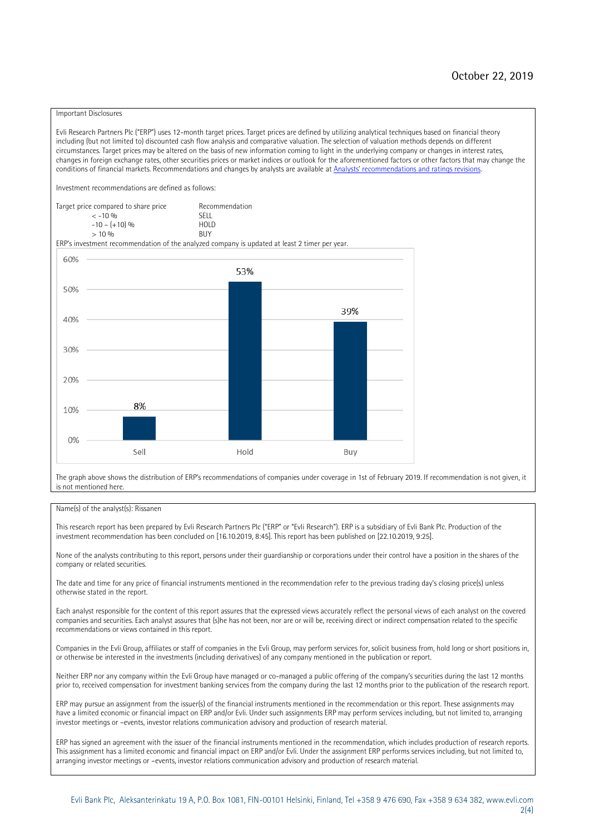#### Important Disclosures

Evli Research Partners Plc ("ERP") uses 12-month target prices. Target prices are defined by utilizing analytical techniques based on financial theory including (but not limited to) discounted cash flow analysis and comparative valuation. The selection of valuation methods depends on different circumstances. Target prices may be altered on the basis of new information coming to light in the underlying company or changes in interest rates, changes in foreign exchange rates, other securities prices or market indices or outlook for the aforementioned factors or other factors that may change the conditions of financial markets. Recommendations and changes by analysts are available at [Analysts' recommendations and ratings revisions](https://research.evli.com/JasperAllModels.action?authParam=key;461&authParam=x;G3rNagWrtf7K&authType=3). Investment recommendations are defined as follows: Target price compared to share price Recommendation<br> $\leq 10\%$  $\langle 5, 10, 10 \rangle$  SELL<br>  $\langle -10, 6, 10 \rangle$  SELL<br>  $\langle 10, 10, 10 \rangle$  $-10 - (+10) \%$  HOLD<br>> 10 % BUY  $> 10\%$ ERP's investment recommendation of the analyzed company is updated at least 2 timer per year. 60% 53% 50% 39% 40% 30%  $20%$ 8% 10% 0% Sell Hold Buy

The graph above shows the distribution of ERP's recommendations of companies under coverage in 1st of February 2019. If recommendation is not given, it is not mentioned here.

#### Name(s) of the analyst(s): Rissanen

This research report has been prepared by Evli Research Partners Plc ("ERP" or "Evli Research"). ERP is a subsidiary of Evli Bank Plc. Production of the investment recommendation has been concluded on [16.10.2019, 8:45]. This report has been published on [22.10.2019, 9:25].

None of the analysts contributing to this report, persons under their guardianship or corporations under their control have a position in the shares of the company or related securities.

The date and time for any price of financial instruments mentioned in the recommendation refer to the previous trading day's closing price(s) unless otherwise stated in the report.

Each analyst responsible for the content of this report assures that the expressed views accurately reflect the personal views of each analyst on the covered companies and securities. Each analyst assures that (s)he has not been, nor are or will be, receiving direct or indirect compensation related to the specific recommendations or views contained in this report.

Companies in the Evli Group, affiliates or staff of companies in the Evli Group, may perform services for, solicit business from, hold long or short positions in, or otherwise be interested in the investments (including derivatives) of any company mentioned in the publication or report.

Neither ERP nor any company within the Evli Group have managed or co-managed a public offering of the company's securities during the last 12 months prior to, received compensation for investment banking services from the company during the last 12 months prior to the publication of the research report.

ERP may pursue an assignment from the issuer(s) of the financial instruments mentioned in the recommendation or this report. These assignments may have a limited economic or financial impact on ERP and/or Evli. Under such assignments ERP may perform services including, but not limited to, arranging investor meetings or –events, investor relations communication advisory and production of research material.

ERP has signed an agreement with the issuer of the financial instruments mentioned in the recommendation, which includes production of research reports. This assignment has a limited economic and financial impact on ERP and/or Evli. Under the assignment ERP performs services including, but not limited to, arranging investor meetings or –events, investor relations communication advisory and production of research material.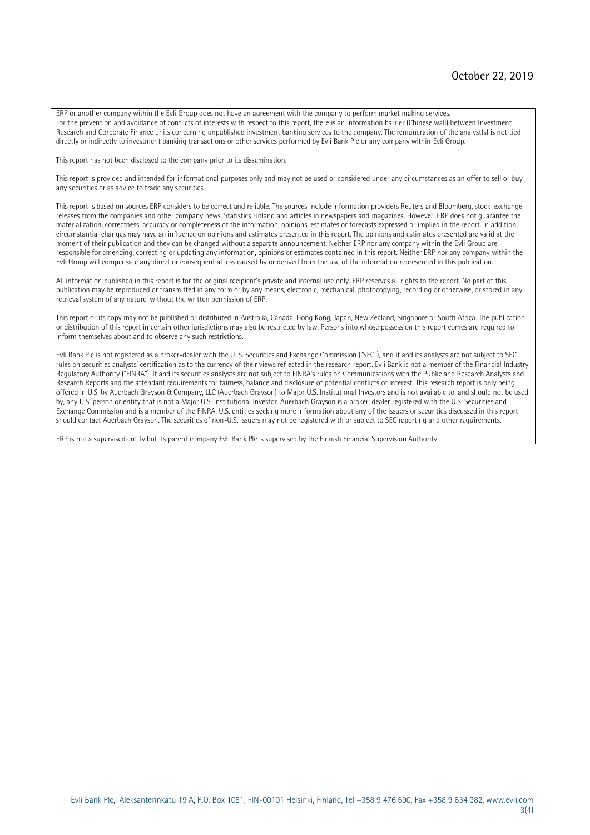ERP or another company within the Evli Group does not have an agreement with the company to perform market making services. For the prevention and avoidance of conflicts of interests with respect to this report, there is an information barrier (Chinese wall) between Investment Research and Corporate Finance units concerning unpublished investment banking services to the company. The remuneration of the analyst(s) is not tied directly or indirectly to investment banking transactions or other services performed by Evli Bank Plc or any company within Evli Group.

This report has not been disclosed to the company prior to its dissemination.

This report is provided and intended for informational purposes only and may not be used or considered under any circumstances as an offer to sell or buy any securities or as advice to trade any securities.

This report is based on sources ERP considers to be correct and reliable. The sources include information providers Reuters and Bloomberg, stock-exchange releases from the companies and other company news, Statistics Finland and articles in newspapers and magazines. However, ERP does not guarantee the materialization, correctness, accuracy or completeness of the information, opinions, estimates or forecasts expressed or implied in the report. In addition, circumstantial changes may have an influence on opinions and estimates presented in this report. The opinions and estimates presented are valid at the moment of their publication and they can be changed without a separate announcement. Neither ERP nor any company within the Evli Group are responsible for amending, correcting or updating any information, opinions or estimates contained in this report. Neither ERP nor any company within the Evli Group will compensate any direct or consequential loss caused by or derived from the use of the information represented in this publication.

All information published in this report is for the original recipient's private and internal use only. ERP reserves all rights to the report. No part of this publication may be reproduced or transmitted in any form or by any means, electronic, mechanical, photocopying, recording or otherwise, or stored in any retrieval system of any nature, without the written permission of ERP.

This report or its copy may not be published or distributed in Australia, Canada, Hong Kong, Japan, New Zealand, Singapore or South Africa. The publication or distribution of this report in certain other jurisdictions may also be restricted by law. Persons into whose possession this report comes are required to inform themselves about and to observe any such restrictions.

Evli Bank Plc is not registered as a broker-dealer with the U. S. Securities and Exchange Commission ("SEC"), and it and its analysts are not subject to SEC rules on securities analysts' certification as to the currency of their views reflected in the research report. Evli Bank is not a member of the Financial Industry Regulatory Authority ("FINRA"). It and its securities analysts are not subject to FINRA's rules on Communications with the Public and Research Analysts and Research Reports and the attendant requirements for fairness, balance and disclosure of potential conflicts of interest. This research report is only being offered in U.S. by Auerbach Grayson & Company, LLC (Auerbach Grayson) to Major U.S. Institutional Investors and is not available to, and should not be used by, any U.S. person or entity that is not a Major U.S. Institutional Investor. Auerbach Grayson is a broker-dealer registered with the U.S. Securities and Exchange Commission and is a member of the FINRA. U.S. entities seeking more information about any of the issuers or securities discussed in this report should contact Auerbach Grayson. The securities of non-U.S. issuers may not be registered with or subject to SEC reporting and other requirements.

ERP is not a supervised entity but its parent company Evli Bank Plc is supervised by the Finnish Financial Supervision Authority.